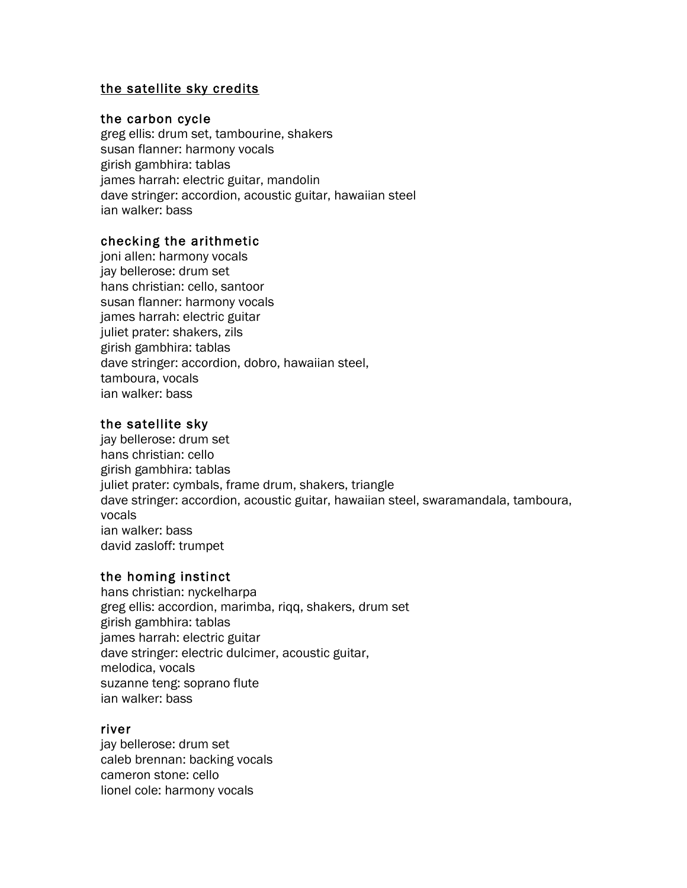# the satellite sky credits

### the carbon cycle

greg ellis: drum set, tambourine, shakers susan flanner: harmony vocals girish gambhira: tablas james harrah: electric guitar, mandolin dave stringer: accordion, acoustic guitar, hawaiian steel ian walker: bass

## checking the arithmetic

joni allen: harmony vocals jay bellerose: drum set hans christian: cello, santoor susan flanner: harmony vocals james harrah: electric guitar juliet prater: shakers, zils girish gambhira: tablas dave stringer: accordion, dobro, hawaiian steel, tamboura, vocals ian walker: bass

## the satellite sky

jay bellerose: drum set hans christian: cello girish gambhira: tablas juliet prater: cymbals, frame drum, shakers, triangle dave stringer: accordion, acoustic guitar, hawaiian steel, swaramandala, tamboura, vocals ian walker: bass david zasloff: trumpet

## the homing instinct

hans christian: nyckelharpa greg ellis: accordion, marimba, riqq, shakers, drum set girish gambhira: tablas james harrah: electric guitar dave stringer: electric dulcimer, acoustic guitar, melodica, vocals suzanne teng: soprano flute ian walker: bass

### river

jay bellerose: drum set caleb brennan: backing vocals cameron stone: cello lionel cole: harmony vocals